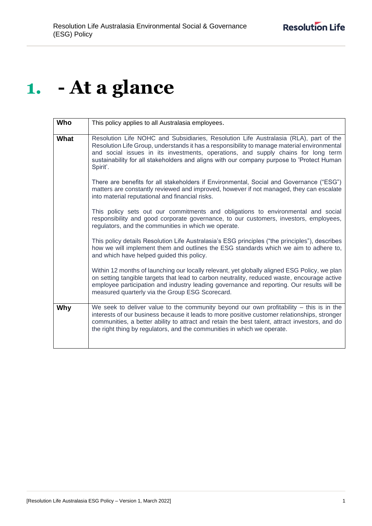# **1. - At a glance**

| Who  | This policy applies to all Australasia employees.                                                                                                                                                                                                                                                                                                                                  |
|------|------------------------------------------------------------------------------------------------------------------------------------------------------------------------------------------------------------------------------------------------------------------------------------------------------------------------------------------------------------------------------------|
| What | Resolution Life NOHC and Subsidiaries, Resolution Life Australasia (RLA), part of the<br>Resolution Life Group, understands it has a responsibility to manage material environmental<br>and social issues in its investments, operations, and supply chains for long term<br>sustainability for all stakeholders and aligns with our company purpose to 'Protect Human<br>Spirit'. |
|      | There are benefits for all stakeholders if Environmental, Social and Governance ("ESG")<br>matters are constantly reviewed and improved, however if not managed, they can escalate<br>into material reputational and financial risks.                                                                                                                                              |
|      | This policy sets out our commitments and obligations to environmental and social<br>responsibility and good corporate governance, to our customers, investors, employees,<br>regulators, and the communities in which we operate.                                                                                                                                                  |
|      | This policy details Resolution Life Australasia's ESG principles ("the principles"), describes<br>how we will implement them and outlines the ESG standards which we aim to adhere to,<br>and which have helped guided this policy.                                                                                                                                                |
|      | Within 12 months of launching our locally relevant, yet globally aligned ESG Policy, we plan<br>on setting tangible targets that lead to carbon neutrality, reduced waste, encourage active<br>employee participation and industry leading governance and reporting. Our results will be<br>measured quarterly via the Group ESG Scorecard.                                        |
| Why  | We seek to deliver value to the community beyond our own profitability $-$ this is in the<br>interests of our business because it leads to more positive customer relationships, stronger<br>communities, a better ability to attract and retain the best talent, attract investors, and do<br>the right thing by regulators, and the communities in which we operate.             |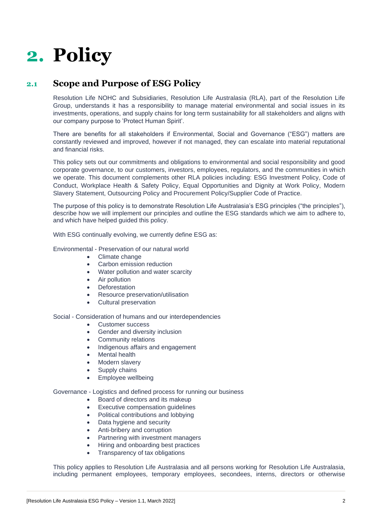# **2. Policy**

# **2.1 Scope and Purpose of ESG Policy**

Resolution Life NOHC and Subsidiaries, Resolution Life Australasia (RLA), part of the Resolution Life Group, understands it has a responsibility to manage material environmental and social issues in its investments, operations, and supply chains for long term sustainability for all stakeholders and aligns with our company purpose to 'Protect Human Spirit'.

There are benefits for all stakeholders if Environmental, Social and Governance ("ESG") matters are constantly reviewed and improved, however if not managed, they can escalate into material reputational and financial risks.

This policy sets out our commitments and obligations to environmental and social responsibility and good corporate governance, to our customers, investors, employees, regulators, and the communities in which we operate. This document complements other RLA policies including: ESG Investment Policy, Code of Conduct, Workplace Health & Safety Policy, Equal Opportunities and Dignity at Work Policy, Modern Slavery Statement, Outsourcing Policy and Procurement Policy/Supplier Code of Practice.

The purpose of this policy is to demonstrate Resolution Life Australasia's ESG principles ("the principles"), describe how we will implement our principles and outline the ESG standards which we aim to adhere to, and which have helped guided this policy.

With ESG continually evolving, we currently define ESG as:

## Environmental - Preservation of our natural world

- Climate change
- Carbon emission reduction
- Water pollution and water scarcity
- Air pollution
- Deforestation
- Resource preservation/utilisation
- Cultural preservation

### Social - Consideration of humans and our interdependencies

- Customer success
- Gender and diversity inclusion
- Community relations
- Indigenous affairs and engagement
- Mental health
- Modern slavery
- Supply chains
- Employee wellbeing

### Governance - Logistics and defined process for running our business

- Board of directors and its makeup
- Executive compensation guidelines
- Political contributions and lobbying
- Data hygiene and security
- Anti-bribery and corruption
- Partnering with investment managers
- Hiring and onboarding best practices
- Transparency of tax obligations

This policy applies to Resolution Life Australasia and all persons working for Resolution Life Australasia, including permanent employees, temporary employees, secondees, interns, directors or otherwise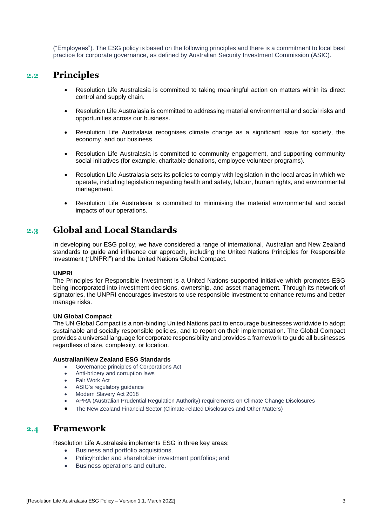("Employees"). The ESG policy is based on the following principles and there is a commitment to local best practice for corporate governance, as defined by Australian Security Investment Commission (ASIC).

## **2.2 Principles**

- Resolution Life Australasia is committed to taking meaningful action on matters within its direct control and supply chain.
- Resolution Life Australasia is committed to addressing material environmental and social risks and opportunities across our business.
- Resolution Life Australasia recognises climate change as a significant issue for society, the economy, and our business.
- Resolution Life Australasia is committed to community engagement, and supporting community social initiatives (for example, charitable donations, employee volunteer programs).
- Resolution Life Australasia sets its policies to comply with legislation in the local areas in which we operate, including legislation regarding health and safety, labour, human rights, and environmental management.
- Resolution Life Australasia is committed to minimising the material environmental and social impacts of our operations.

# **2.3 Global and Local Standards**

In developing our ESG policy, we have considered a range of international, Australian and New Zealand standards to guide and influence our approach, including the United Nations Principles for Responsible Investment ("UNPRI") and the United Nations Global Compact.

## **UNPRI**

The Principles for Responsible Investment is a United Nations-supported initiative which promotes ESG being incorporated into investment decisions, ownership, and asset management. Through its network of signatories, the UNPRI encourages investors to use responsible investment to enhance returns and better manage risks.

### **UN Global Compact**

The UN Global Compact is a non-binding United Nations pact to encourage businesses worldwide to adopt sustainable and socially responsible policies, and to report on their implementation. The Global Compact provides a universal language for corporate responsibility and provides a framework to guide all businesses regardless of size, complexity, or location.

## **Australian/New Zealand ESG Standards**

- Governance principles of Corporations Act
- Anti-bribery and corruption laws
- Fair Work Act
- ASIC's regulatory guidance
- Modern Slavery Act 2018
- APRA (Australian Prudential Regulation Authority) requirements on Climate Change Disclosures
- The New Zealand Financial Sector (Climate-related Disclosures and Other Matters)

## **2.4 Framework**

Resolution Life Australasia implements ESG in three key areas:

- Business and portfolio acquisitions.
- Policyholder and shareholder investment portfolios; and
- Business operations and culture.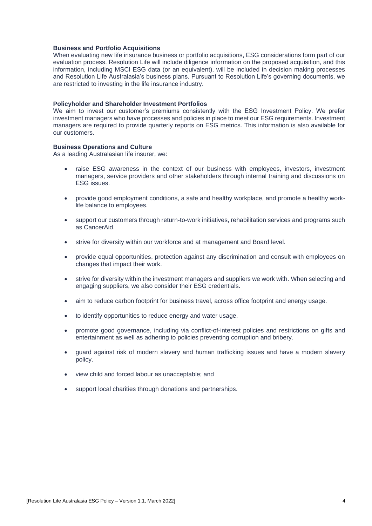#### **Business and Portfolio Acquisitions**

When evaluating new life insurance business or portfolio acquisitions, ESG considerations form part of our evaluation process. Resolution Life will include diligence information on the proposed acquisition, and this information, including MSCI ESG data (or an equivalent), will be included in decision making processes and Resolution Life Australasia's business plans. Pursuant to Resolution Life's governing documents, we are restricted to investing in the life insurance industry.

#### **Policyholder and Shareholder Investment Portfolios**

We aim to invest our customer's premiums consistently with the ESG Investment Policy. We prefer investment managers who have processes and policies in place to meet our ESG requirements. Investment managers are required to provide quarterly reports on ESG metrics. This information is also available for our customers.

#### **Business Operations and Culture**

As a leading Australasian life insurer, we:

- raise ESG awareness in the context of our business with employees, investors, investment managers, service providers and other stakeholders through internal training and discussions on ESG issues.
- provide good employment conditions, a safe and healthy workplace, and promote a healthy worklife balance to employees.
- support our customers through return-to-work initiatives, rehabilitation services and programs such as CancerAid.
- strive for diversity within our workforce and at management and Board level.
- provide equal opportunities, protection against any discrimination and consult with employees on changes that impact their work.
- strive for diversity within the investment managers and suppliers we work with. When selecting and engaging suppliers, we also consider their ESG credentials.
- aim to reduce carbon footprint for business travel, across office footprint and energy usage.
- to identify opportunities to reduce energy and water usage.
- promote good governance, including via conflict-of-interest policies and restrictions on gifts and entertainment as well as adhering to policies preventing corruption and bribery.
- guard against risk of modern slavery and human trafficking issues and have a modern slavery policy.
- view child and forced labour as unacceptable; and
- support local charities through donations and partnerships.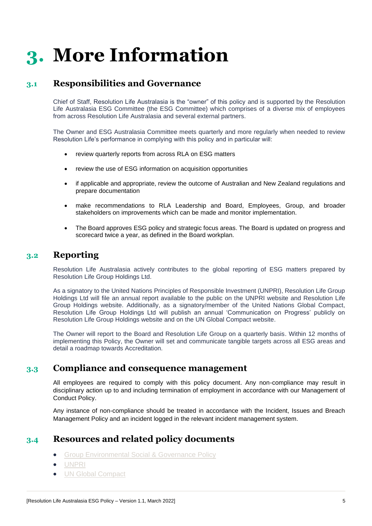# **3. More Information**

## **3.1 Responsibilities and Governance**

Chief of Staff, Resolution Life Australasia is the "owner" of this policy and is supported by the Resolution Life Australasia ESG Committee (the ESG Committee) which comprises of a diverse mix of employees from across Resolution Life Australasia and several external partners.

The Owner and ESG Australasia Committee meets quarterly and more regularly when needed to review Resolution Life's performance in complying with this policy and in particular will:

- review quarterly reports from across RLA on ESG matters
- review the use of ESG information on acquisition opportunities
- if applicable and appropriate, review the outcome of Australian and New Zealand regulations and prepare documentation
- make recommendations to RLA Leadership and Board, Employees, Group, and broader stakeholders on improvements which can be made and monitor implementation.
- The Board approves ESG policy and strategic focus areas. The Board is updated on progress and scorecard twice a year, as defined in the Board workplan.

## **3.2 Reporting**

Resolution Life Australasia actively contributes to the global reporting of ESG matters prepared by Resolution Life Group Holdings Ltd.

As a signatory to the United Nations Principles of Responsible Investment (UNPRI), Resolution Life Group Holdings Ltd will file an annual report available to the public on the [UNPRI website](https://www.unpri.org/) and [Resolution Life](http://www.resolutionlife.com/)  [Group Holdings website.](http://www.resolutionlife.com/) Additionally, as a signatory/member of the United Nations Global Compact, Resolution Life Group Holdings Ltd will publish an annual 'Communication on Progress' publicly on [Resolution Life Group Holdings website](http://www.resolutionlife.com/) and on the [UN Global Compact website.](https://www.unglobalcompact.org/)

The Owner will report to the Board and Resolution Life Group on a quarterly basis. Within 12 months of implementing this Policy, the Owner will set and communicate tangible targets across all ESG areas and detail a roadmap towards Accreditation.

## **3.3 Compliance and consequence management**

All employees are required to comply with this policy document. Any non-compliance may result in disciplinary action up to and including termination of employment in accordance with our Management of Conduct Policy.

Any instance of non-compliance should be treated in accordance with the Incident, Issues and Breach Management Policy and an incident logged in the relevant incident management system.

## **3.4 Resources and related policy documents**

- [Group Environmental Social & Governance Policy](https://www.resolutionlife.com/legal-and-compliance/esg-policy/)
- [UNPRI](https://www.unpri.org/)
- [UN Global Compact](https://www.unglobalcompact.org/)